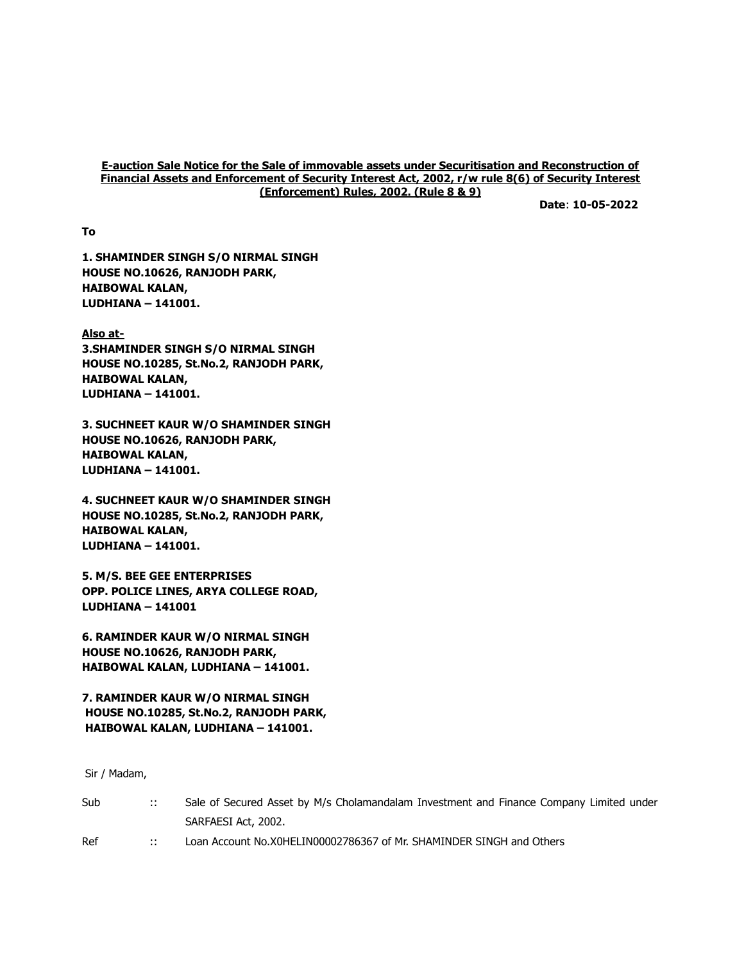#### E-auction Sale Notice for the Sale of immovable assets under Securitisation and Reconstruction of Financial Assets and Enforcement of Security Interest Act, 2002, r/w rule 8(6) of Security Interest (Enforcement) Rules, 2002. (Rule 8 & 9)

Date: 10-05-2022

To

1. SHAMINDER SINGH S/O NIRMAL SINGH HOUSE NO.10626, RANJODH PARK, HAIBOWAL KALAN, LUDHIANA – 141001.

Also at-3.SHAMINDER SINGH S/O NIRMAL SINGH HOUSE NO.10285, St.No.2, RANJODH PARK, HAIBOWAL KALAN, LUDHIANA – 141001.

3. SUCHNEET KAUR W/O SHAMINDER SINGH HOUSE NO.10626, RANJODH PARK, HAIBOWAL KALAN, LUDHIANA – 141001.

4. SUCHNEET KAUR W/O SHAMINDER SINGH HOUSE NO.10285, St.No.2, RANJODH PARK, HAIBOWAL KALAN, LUDHIANA – 141001.

5. M/S. BEE GEE ENTERPRISES OPP. POLICE LINES, ARYA COLLEGE ROAD, LUDHIANA – 141001

6. RAMINDER KAUR W/O NIRMAL SINGH HOUSE NO.10626, RANJODH PARK, HAIBOWAL KALAN, LUDHIANA – 141001.

7. RAMINDER KAUR W/O NIRMAL SINGH HOUSE NO.10285, St.No.2, RANJODH PARK, HAIBOWAL KALAN, LUDHIANA – 141001.

Sir / Madam,

| Sub | $\ddots$ | Sale of Secured Asset by M/s Cholamandalam Investment and Finance Company Limited under |
|-----|----------|-----------------------------------------------------------------------------------------|
|     |          | SARFAESI Act, 2002.                                                                     |
| Ref | $\cdots$ | Loan Account No.X0HELIN00002786367 of Mr. SHAMINDER SINGH and Others                    |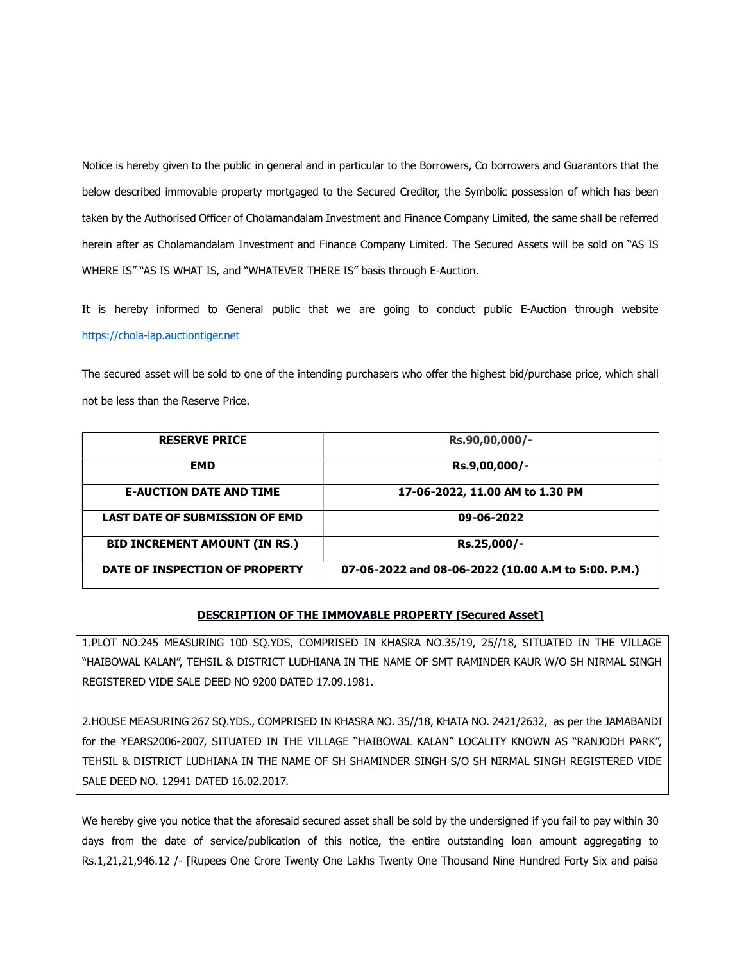Notice is hereby given to the public in general and in particular to the Borrowers, Co borrowers and Guarantors that the below described immovable property mortgaged to the Secured Creditor, the Symbolic possession of which has been taken by the Authorised Officer of Cholamandalam Investment and Finance Company Limited, the same shall be referred herein after as Cholamandalam Investment and Finance Company Limited. The Secured Assets will be sold on "AS IS WHERE IS" "AS IS WHAT IS, and "WHATEVER THERE IS" basis through E-Auction.

It is hereby informed to General public that we are going to conduct public E-Auction through website https://chola-lap.auctiontiger.net

The secured asset will be sold to one of the intending purchasers who offer the highest bid/purchase price, which shall not be less than the Reserve Price.

| <b>RESERVE PRICE</b>                  | Rs.90,00,000/-                                      |
|---------------------------------------|-----------------------------------------------------|
| <b>EMD</b>                            | Rs.9,00,000/-                                       |
| <b>E-AUCTION DATE AND TIME</b>        | 17-06-2022, 11.00 AM to 1.30 PM                     |
| <b>LAST DATE OF SUBMISSION OF EMD</b> | 09-06-2022                                          |
| <b>BID INCREMENT AMOUNT (IN RS.)</b>  | Rs.25,000/-                                         |
| DATE OF INSPECTION OF PROPERTY        | 07-06-2022 and 08-06-2022 (10.00 A.M to 5:00. P.M.) |

## DESCRIPTION OF THE IMMOVABLE PROPERTY [Secured Asset]

1.PLOT NO.245 MEASURING 100 SQ.YDS, COMPRISED IN KHASRA NO.35/19, 25//18, SITUATED IN THE VILLAGE "HAIBOWAL KALAN", TEHSIL & DISTRICT LUDHIANA IN THE NAME OF SMT RAMINDER KAUR W/O SH NIRMAL SINGH REGISTERED VIDE SALE DEED NO 9200 DATED 17.09.1981.

2.HOUSE MEASURING 267 SQ.YDS., COMPRISED IN KHASRA NO. 35//18, KHATA NO. 2421/2632, as per the JAMABANDI for the YEARS2006-2007, SITUATED IN THE VILLAGE "HAIBOWAL KALAN" LOCALITY KNOWN AS "RANJODH PARK", TEHSIL & DISTRICT LUDHIANA IN THE NAME OF SH SHAMINDER SINGH S/O SH NIRMAL SINGH REGISTERED VIDE SALE DEED NO. 12941 DATED 16.02.2017.

We hereby give you notice that the aforesaid secured asset shall be sold by the undersigned if you fail to pay within 30 days from the date of service/publication of this notice, the entire outstanding loan amount aggregating to Rs.1,21,21,946.12 /- [Rupees One Crore Twenty One Lakhs Twenty One Thousand Nine Hundred Forty Six and paisa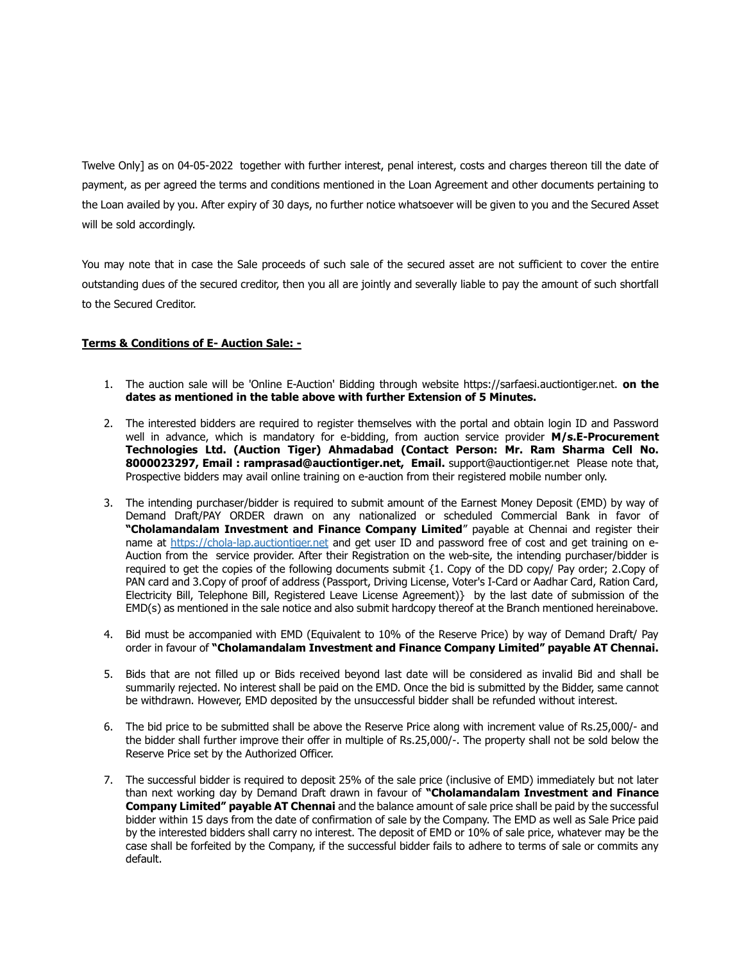Twelve Only] as on 04-05-2022 together with further interest, penal interest, costs and charges thereon till the date of payment, as per agreed the terms and conditions mentioned in the Loan Agreement and other documents pertaining to the Loan availed by you. After expiry of 30 days, no further notice whatsoever will be given to you and the Secured Asset will be sold accordingly.

You may note that in case the Sale proceeds of such sale of the secured asset are not sufficient to cover the entire outstanding dues of the secured creditor, then you all are jointly and severally liable to pay the amount of such shortfall to the Secured Creditor.

# Terms & Conditions of E- Auction Sale: -

- 1. The auction sale will be 'Online E-Auction' Bidding through website https://sarfaesi.auctiontiger.net. on the dates as mentioned in the table above with further Extension of 5 Minutes.
- 2. The interested bidders are required to register themselves with the portal and obtain login ID and Password well in advance, which is mandatory for e-bidding, from auction service provider M/s.E-Procurement Technologies Ltd. (Auction Tiger) Ahmadabad (Contact Person: Mr. Ram Sharma Cell No. 8000023297, Email : ramprasad@auctiontiger.net, Email. support@auctiontiger.net Please note that, Prospective bidders may avail online training on e-auction from their registered mobile number only.
- 3. The intending purchaser/bidder is required to submit amount of the Earnest Money Deposit (EMD) by way of Demand Draft/PAY ORDER drawn on any nationalized or scheduled Commercial Bank in favor of "Cholamandalam Investment and Finance Company Limited" payable at Chennai and register their name at https://chola-lap.auctiontiger.net and get user ID and password free of cost and get training on e-Auction from the service provider. After their Registration on the web-site, the intending purchaser/bidder is required to get the copies of the following documents submit {1. Copy of the DD copy/ Pay order; 2.Copy of PAN card and 3.Copy of proof of address (Passport, Driving License, Voter's I-Card or Aadhar Card, Ration Card, Electricity Bill, Telephone Bill, Registered Leave License Agreement)} by the last date of submission of the EMD(s) as mentioned in the sale notice and also submit hardcopy thereof at the Branch mentioned hereinabove.
- 4. Bid must be accompanied with EMD (Equivalent to 10% of the Reserve Price) by way of Demand Draft/ Pay order in favour of "Cholamandalam Investment and Finance Company Limited" payable AT Chennai.
- 5. Bids that are not filled up or Bids received beyond last date will be considered as invalid Bid and shall be summarily rejected. No interest shall be paid on the EMD. Once the bid is submitted by the Bidder, same cannot be withdrawn. However, EMD deposited by the unsuccessful bidder shall be refunded without interest.
- 6. The bid price to be submitted shall be above the Reserve Price along with increment value of Rs.25,000/- and the bidder shall further improve their offer in multiple of Rs.25,000/-. The property shall not be sold below the Reserve Price set by the Authorized Officer.
- 7. The successful bidder is required to deposit 25% of the sale price (inclusive of EMD) immediately but not later than next working day by Demand Draft drawn in favour of "Cholamandalam Investment and Finance Company Limited" payable AT Chennai and the balance amount of sale price shall be paid by the successful bidder within 15 days from the date of confirmation of sale by the Company. The EMD as well as Sale Price paid by the interested bidders shall carry no interest. The deposit of EMD or 10% of sale price, whatever may be the case shall be forfeited by the Company, if the successful bidder fails to adhere to terms of sale or commits any default.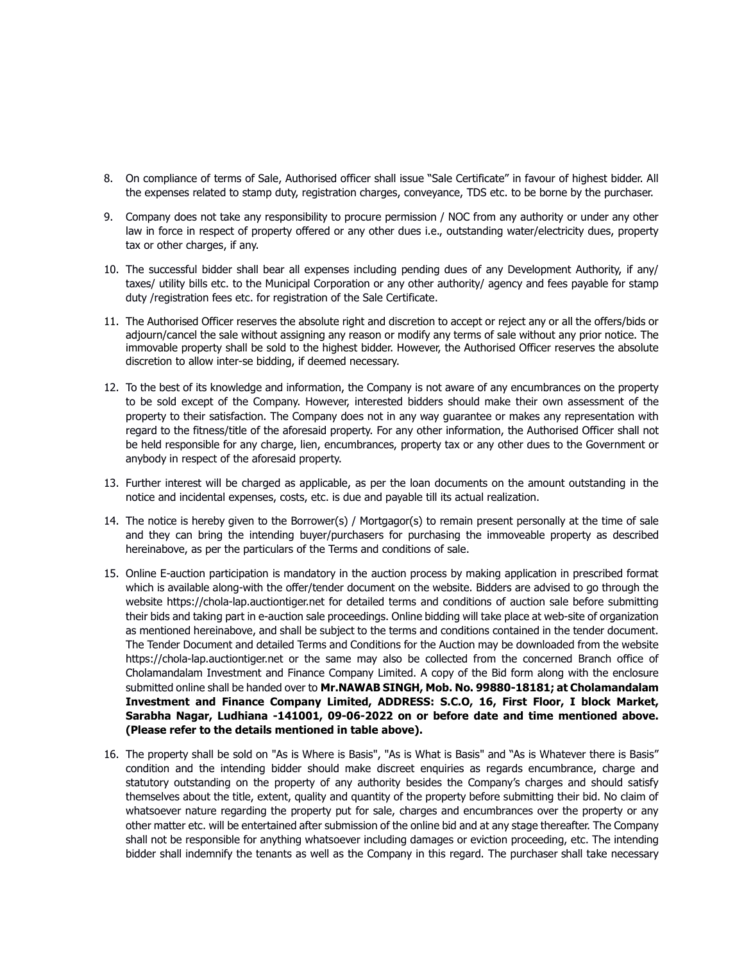- 8. On compliance of terms of Sale, Authorised officer shall issue "Sale Certificate" in favour of highest bidder. All the expenses related to stamp duty, registration charges, conveyance, TDS etc. to be borne by the purchaser.
- 9. Company does not take any responsibility to procure permission / NOC from any authority or under any other law in force in respect of property offered or any other dues i.e., outstanding water/electricity dues, property tax or other charges, if any.
- 10. The successful bidder shall bear all expenses including pending dues of any Development Authority, if any/ taxes/ utility bills etc. to the Municipal Corporation or any other authority/ agency and fees payable for stamp duty /registration fees etc. for registration of the Sale Certificate.
- 11. The Authorised Officer reserves the absolute right and discretion to accept or reject any or all the offers/bids or adjourn/cancel the sale without assigning any reason or modify any terms of sale without any prior notice. The immovable property shall be sold to the highest bidder. However, the Authorised Officer reserves the absolute discretion to allow inter-se bidding, if deemed necessary.
- 12. To the best of its knowledge and information, the Company is not aware of any encumbrances on the property to be sold except of the Company. However, interested bidders should make their own assessment of the property to their satisfaction. The Company does not in any way guarantee or makes any representation with regard to the fitness/title of the aforesaid property. For any other information, the Authorised Officer shall not be held responsible for any charge, lien, encumbrances, property tax or any other dues to the Government or anybody in respect of the aforesaid property.
- 13. Further interest will be charged as applicable, as per the loan documents on the amount outstanding in the notice and incidental expenses, costs, etc. is due and payable till its actual realization.
- 14. The notice is hereby given to the Borrower(s) / Mortgagor(s) to remain present personally at the time of sale and they can bring the intending buyer/purchasers for purchasing the immoveable property as described hereinabove, as per the particulars of the Terms and conditions of sale.
- 15. Online E-auction participation is mandatory in the auction process by making application in prescribed format which is available along-with the offer/tender document on the website. Bidders are advised to go through the website https://chola-lap.auctiontiger.net for detailed terms and conditions of auction sale before submitting their bids and taking part in e-auction sale proceedings. Online bidding will take place at web-site of organization as mentioned hereinabove, and shall be subject to the terms and conditions contained in the tender document. The Tender Document and detailed Terms and Conditions for the Auction may be downloaded from the website https://chola-lap.auctiontiger.net or the same may also be collected from the concerned Branch office of Cholamandalam Investment and Finance Company Limited. A copy of the Bid form along with the enclosure submitted online shall be handed over to Mr.NAWAB SINGH, Mob. No. 99880-18181; at Cholamandalam Investment and Finance Company Limited, ADDRESS: S.C.O, 16, First Floor, I block Market, Sarabha Nagar, Ludhiana -141001, 09-06-2022 on or before date and time mentioned above. (Please refer to the details mentioned in table above).
- 16. The property shall be sold on "As is Where is Basis", "As is What is Basis" and "As is Whatever there is Basis" condition and the intending bidder should make discreet enquiries as regards encumbrance, charge and statutory outstanding on the property of any authority besides the Company's charges and should satisfy themselves about the title, extent, quality and quantity of the property before submitting their bid. No claim of whatsoever nature regarding the property put for sale, charges and encumbrances over the property or any other matter etc. will be entertained after submission of the online bid and at any stage thereafter. The Company shall not be responsible for anything whatsoever including damages or eviction proceeding, etc. The intending bidder shall indemnify the tenants as well as the Company in this regard. The purchaser shall take necessary